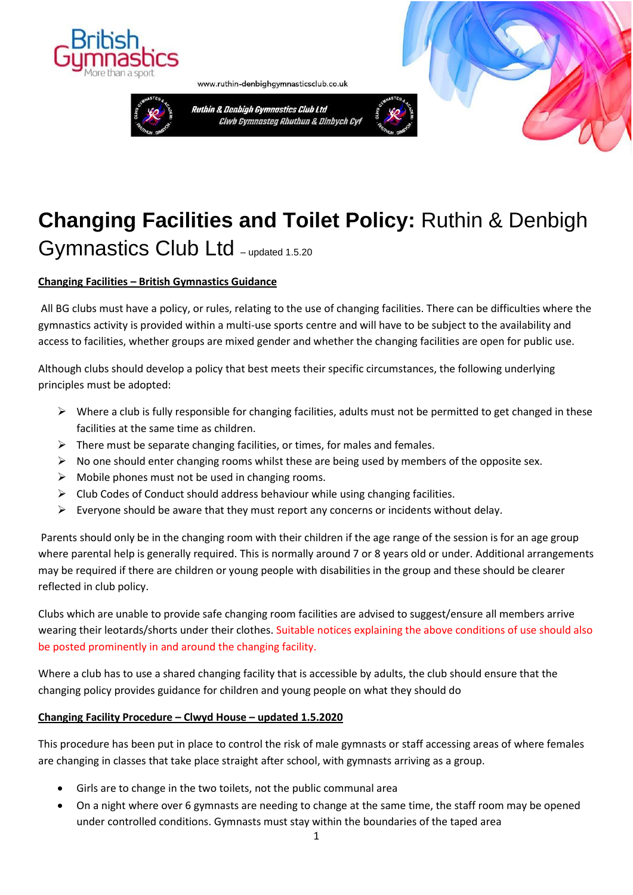



Ruthin & Denbigh Gymnastics Club Ltd Clwb Gymnasteg Rhuthun & Dinbych Cyf

www.ruthin-denbighgymnasticsclub.co.uk



# **Changing Facilities and Toilet Policy:** Ruthin & Denbigh

Gymnastics Club Ltd - updated 1.5.20

# **Changing Facilities – British Gymnastics Guidance**

All BG clubs must have a policy, or rules, relating to the use of changing facilities. There can be difficulties where the gymnastics activity is provided within a multi-use sports centre and will have to be subject to the availability and access to facilities, whether groups are mixed gender and whether the changing facilities are open for public use.

Although clubs should develop a policy that best meets their specific circumstances, the following underlying principles must be adopted:

- $\triangleright$  Where a club is fully responsible for changing facilities, adults must not be permitted to get changed in these facilities at the same time as children.
- $\triangleright$  There must be separate changing facilities, or times, for males and females.
- $\triangleright$  No one should enter changing rooms whilst these are being used by members of the opposite sex.
- $\triangleright$  Mobile phones must not be used in changing rooms.
- $\triangleright$  Club Codes of Conduct should address behaviour while using changing facilities.
- ➢ Everyone should be aware that they must report any concerns or incidents without delay.

Parents should only be in the changing room with their children if the age range of the session is for an age group where parental help is generally required. This is normally around 7 or 8 years old or under. Additional arrangements may be required if there are children or young people with disabilities in the group and these should be clearer reflected in club policy.

Clubs which are unable to provide safe changing room facilities are advised to suggest/ensure all members arrive wearing their leotards/shorts under their clothes. Suitable notices explaining the above conditions of use should also be posted prominently in and around the changing facility.

Where a club has to use a shared changing facility that is accessible by adults, the club should ensure that the changing policy provides guidance for children and young people on what they should do

## **Changing Facility Procedure – Clwyd House – updated 1.5.2020**

This procedure has been put in place to control the risk of male gymnasts or staff accessing areas of where females are changing in classes that take place straight after school, with gymnasts arriving as a group.

- Girls are to change in the two toilets, not the public communal area
- On a night where over 6 gymnasts are needing to change at the same time, the staff room may be opened under controlled conditions. Gymnasts must stay within the boundaries of the taped area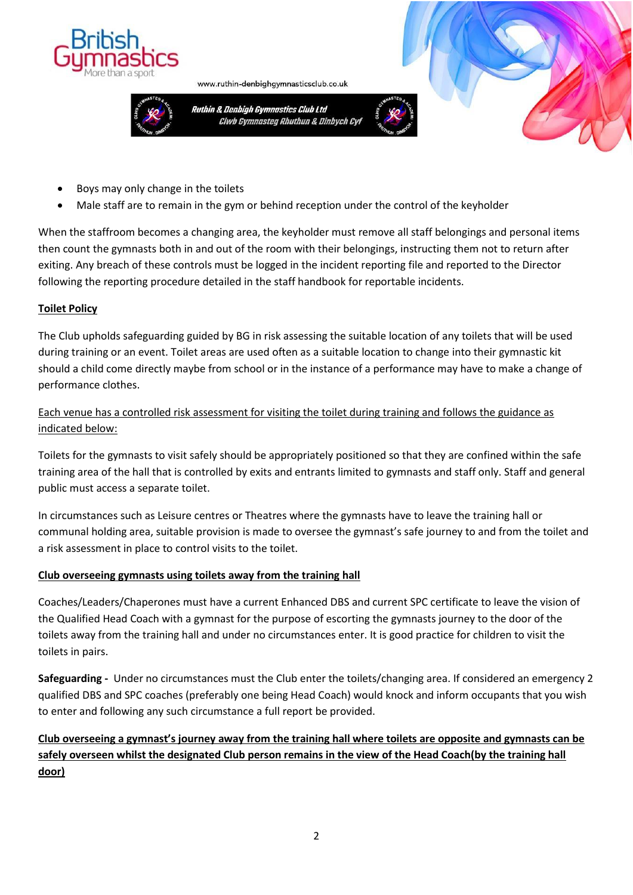

Ruthin & Denbigh Gymnastics Club Ltd Clwb Gymnasteg Rhuthun & Dinbych Cyf

www.ruthin-denbighgymnasticsclub.co.uk



- Boys may only change in the toilets
- Male staff are to remain in the gym or behind reception under the control of the keyholder

When the staffroom becomes a changing area, the keyholder must remove all staff belongings and personal items then count the gymnasts both in and out of the room with their belongings, instructing them not to return after exiting. Any breach of these controls must be logged in the incident reporting file and reported to the Director following the reporting procedure detailed in the staff handbook for reportable incidents.

#### **Toilet Policy**

The Club upholds safeguarding guided by BG in risk assessing the suitable location of any toilets that will be used during training or an event. Toilet areas are used often as a suitable location to change into their gymnastic kit should a child come directly maybe from school or in the instance of a performance may have to make a change of performance clothes.

## Each venue has a controlled risk assessment for visiting the toilet during training and follows the guidance as indicated below:

Toilets for the gymnasts to visit safely should be appropriately positioned so that they are confined within the safe training area of the hall that is controlled by exits and entrants limited to gymnasts and staff only. Staff and general public must access a separate toilet.

In circumstances such as Leisure centres or Theatres where the gymnasts have to leave the training hall or communal holding area, suitable provision is made to oversee the gymnast's safe journey to and from the toilet and a risk assessment in place to control visits to the toilet.

## **Club overseeing gymnasts using toilets away from the training hall**

Coaches/Leaders/Chaperones must have a current Enhanced DBS and current SPC certificate to leave the vision of the Qualified Head Coach with a gymnast for the purpose of escorting the gymnasts journey to the door of the toilets away from the training hall and under no circumstances enter. It is good practice for children to visit the toilets in pairs.

**Safeguarding -** Under no circumstances must the Club enter the toilets/changing area. If considered an emergency 2 qualified DBS and SPC coaches (preferably one being Head Coach) would knock and inform occupants that you wish to enter and following any such circumstance a full report be provided.

# **Club overseeing a gymnast's journey away from the training hall where toilets are opposite and gymnasts can be safely overseen whilst the designated Club person remains in the view of the Head Coach(by the training hall door)**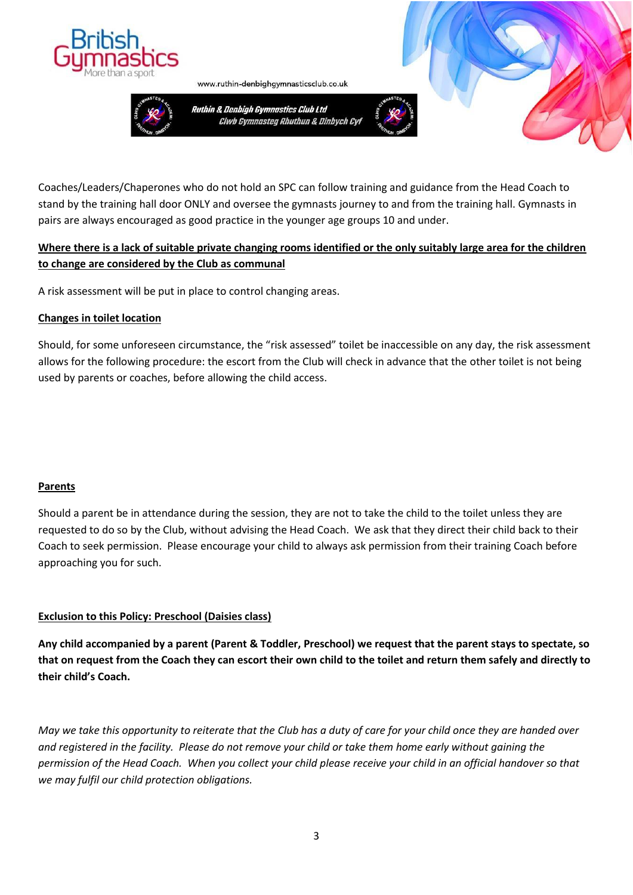



www.ruthin-denbighgymnasticsclub.co.uk

Ruthin & Denbigh Gymnastics Club Ltd Clwb Gymnasteg Rhuthun & Dinbych Cyf





Coaches/Leaders/Chaperones who do not hold an SPC can follow training and guidance from the Head Coach to stand by the training hall door ONLY and oversee the gymnasts journey to and from the training hall. Gymnasts in pairs are always encouraged as good practice in the younger age groups 10 and under.

# **Where there is a lack of suitable private changing rooms identified or the only suitably large area for the children to change are considered by the Club as communal**

A risk assessment will be put in place to control changing areas.

## **Changes in toilet location**

Should, for some unforeseen circumstance, the "risk assessed" toilet be inaccessible on any day, the risk assessment allows for the following procedure: the escort from the Club will check in advance that the other toilet is not being used by parents or coaches, before allowing the child access.

## **Parents**

Should a parent be in attendance during the session, they are not to take the child to the toilet unless they are requested to do so by the Club, without advising the Head Coach. We ask that they direct their child back to their Coach to seek permission. Please encourage your child to always ask permission from their training Coach before approaching you for such.

## **Exclusion to this Policy: Preschool (Daisies class)**

**Any child accompanied by a parent (Parent & Toddler, Preschool) we request that the parent stays to spectate, so that on request from the Coach they can escort their own child to the toilet and return them safely and directly to their child's Coach.**

*May we take this opportunity to reiterate that the Club has a duty of care for your child once they are handed over and registered in the facility. Please do not remove your child or take them home early without gaining the permission of the Head Coach. When you collect your child please receive your child in an official handover so that we may fulfil our child protection obligations.*